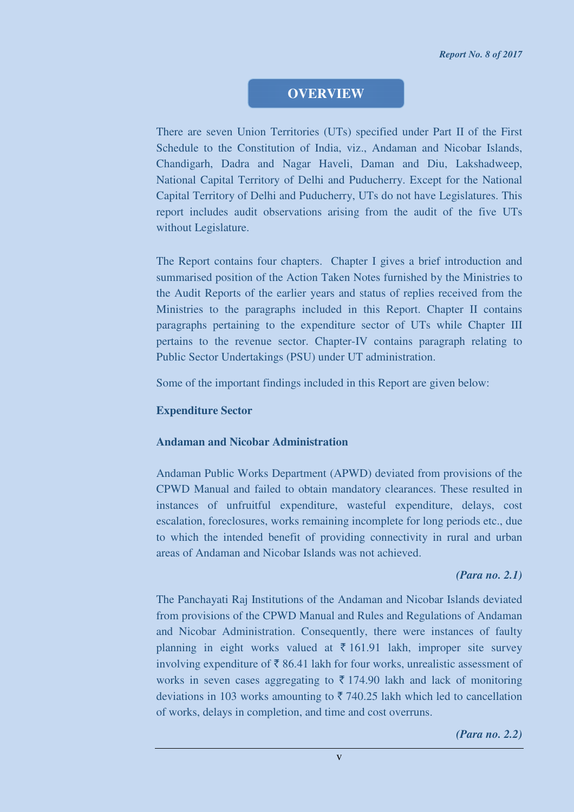## **OVERVIEW**

There are seven Union Territories (UTs) specified under Part II of the First Schedule to the Constitution of India, viz., Andaman and Nicobar Islands, Chandigarh, Dadra and Nagar Haveli, Daman and Diu, Lakshadweep, National Capital Territory of Delhi and Puducherry. Except for the National Capital Territory of Delhi and Puducherry, UTs do not have Legislatures. This report includes audit observations arising from the audit of the five UTs without Legislature.

The Report contains four chapters. Chapter I gives a brief introduction and summarised position of the Action Taken Notes furnished by the Ministries to the Audit Reports of the earlier years and status of replies received from the Ministries to the paragraphs included in this Report. Chapter II contains paragraphs pertaining to the expenditure sector of UTs while Chapter III pertains to the revenue sector. Chapter-IV contains paragraph relating to Public Sector Undertakings (PSU) under UT administration.

Some of the important findings included in this Report are given below:

#### **Expenditure Sector**

#### **Andaman and Nicobar Administration**

Andaman Public Works Department (APWD) deviated from provisions of the CPWD Manual and failed to obtain mandatory clearances. These resulted in instances of unfruitful expenditure, wasteful expenditure, delays, cost escalation, foreclosures, works remaining incomplete for long periods etc., due to which the intended benefit of providing connectivity in rural and urban areas of Andaman and Nicobar Islands was not achieved.

#### *(Para no. 2.1)*

The Panchayati Raj Institutions of the Andaman and Nicobar Islands deviated from provisions of the CPWD Manual and Rules and Regulations of Andaman and Nicobar Administration. Consequently, there were instances of faulty planning in eight works valued at  $\bar{\tau}$  161.91 lakh, improper site survey involving expenditure of  $\bar{\tau}$  86.41 lakh for four works, unrealistic assessment of works in seven cases aggregating to  $\bar{\tau}$  174.90 lakh and lack of monitoring deviations in 103 works amounting to  $\overline{z}$  740.25 lakh which led to cancellation of works, delays in completion, and time and cost overruns.

*(Para no. 2.2)*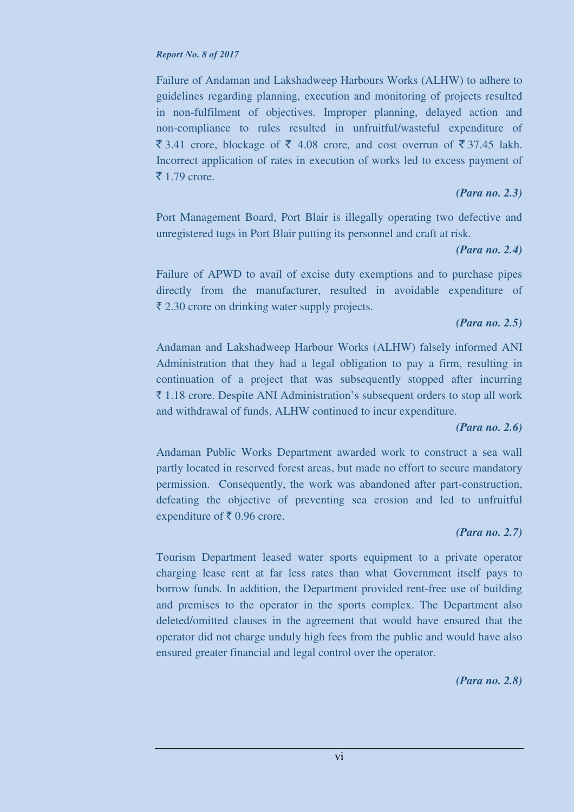#### *Report No. 8 of 2017*

Failure of Andaman and Lakshadweep Harbours Works (ALHW) to adhere to guidelines regarding planning, execution and monitoring of projects resulted in non-fulfilment of objectives. Improper planning, delayed action and non-compliance to rules resulted in unfruitful/wasteful expenditure of  $\bar{\xi}$  3.41 crore, blockage of  $\bar{\xi}$  4.08 crore, and cost overrun of  $\bar{\xi}$  37.45 lakh. Incorrect application of rates in execution of works led to excess payment of  $\bar{\bar{\xi}}$  1.79 crore.

### *(Para no. 2.3)*

Port Management Board, Port Blair is illegally operating two defective and unregistered tugs in Port Blair putting its personnel and craft at risk.

### *(Para no. 2.4)*

Failure of APWD to avail of excise duty exemptions and to purchase pipes directly from the manufacturer, resulted in avoidable expenditure of  $\bar{\xi}$  2.30 crore on drinking water supply projects.

### *(Para no. 2.5)*

Andaman and Lakshadweep Harbour Works (ALHW) falsely informed ANI Administration that they had a legal obligation to pay a firm, resulting in continuation of a project that was subsequently stopped after incurring  $\bar{\tau}$  1.18 crore. Despite ANI Administration's subsequent orders to stop all work and withdrawal of funds, ALHW continued to incur expenditure.

### *(Para no. 2.6)*

Andaman Public Works Department awarded work to construct a sea wall partly located in reserved forest areas, but made no effort to secure mandatory permission. Consequently, the work was abandoned after part-construction, defeating the objective of preventing sea erosion and led to unfruitful expenditure of  $\bar{\tau}$  0.96 crore.

### *(Para no. 2.7)*

Tourism Department leased water sports equipment to a private operator charging lease rent at far less rates than what Government itself pays to borrow funds. In addition, the Department provided rent-free use of building and premises to the operator in the sports complex. The Department also deleted/omitted clauses in the agreement that would have ensured that the operator did not charge unduly high fees from the public and would have also ensured greater financial and legal control over the operator.

*(Para no. 2.8)*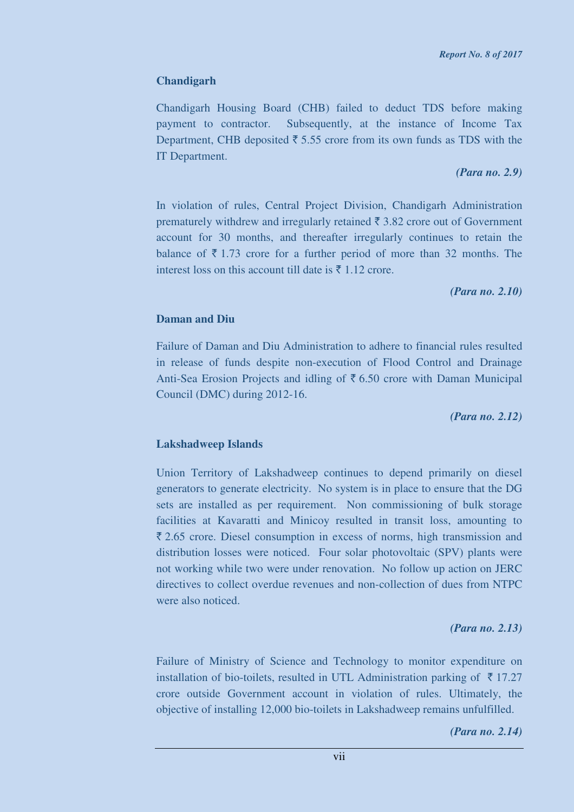## **Chandigarh**

Chandigarh Housing Board (CHB) failed to deduct TDS before making payment to contractor. Subsequently, at the instance of Income Tax Department, CHB deposited  $\bar{\tau}$  5.55 crore from its own funds as TDS with the IT Department.

#### *(Para no. 2.9)*

In violation of rules, Central Project Division, Chandigarh Administration prematurely withdrew and irregularly retained  $\bar{\tau}$  3.82 crore out of Government account for 30 months, and thereafter irregularly continues to retain the balance of  $\bar{\tau}$  1.73 crore for a further period of more than 32 months. The interest loss on this account till date is  $\bar{\tau}$  1.12 crore.

### *(Para no. 2.10)*

### **Daman and Diu**

Failure of Daman and Diu Administration to adhere to financial rules resulted in release of funds despite non-execution of Flood Control and Drainage Anti-Sea Erosion Projects and idling of  $\bar{\tau}$  6.50 crore with Daman Municipal Council (DMC) during 2012-16.

*(Para no. 2.12)* 

### **Lakshadweep Islands**

Union Territory of Lakshadweep continues to depend primarily on diesel generators to generate electricity. No system is in place to ensure that the DG sets are installed as per requirement. Non commissioning of bulk storage facilities at Kavaratti and Minicoy resulted in transit loss, amounting to  $\bar{\xi}$  2.65 crore. Diesel consumption in excess of norms, high transmission and distribution losses were noticed. Four solar photovoltaic (SPV) plants were not working while two were under renovation. No follow up action on JERC directives to collect overdue revenues and non-collection of dues from NTPC were also noticed.

### *(Para no. 2.13)*

Failure of Ministry of Science and Technology to monitor expenditure on installation of bio-toilets, resulted in UTL Administration parking of  $\bar{\tau}$  17.27 crore outside Government account in violation of rules. Ultimately, the objective of installing 12,000 bio-toilets in Lakshadweep remains unfulfilled.

*(Para no. 2.14)*